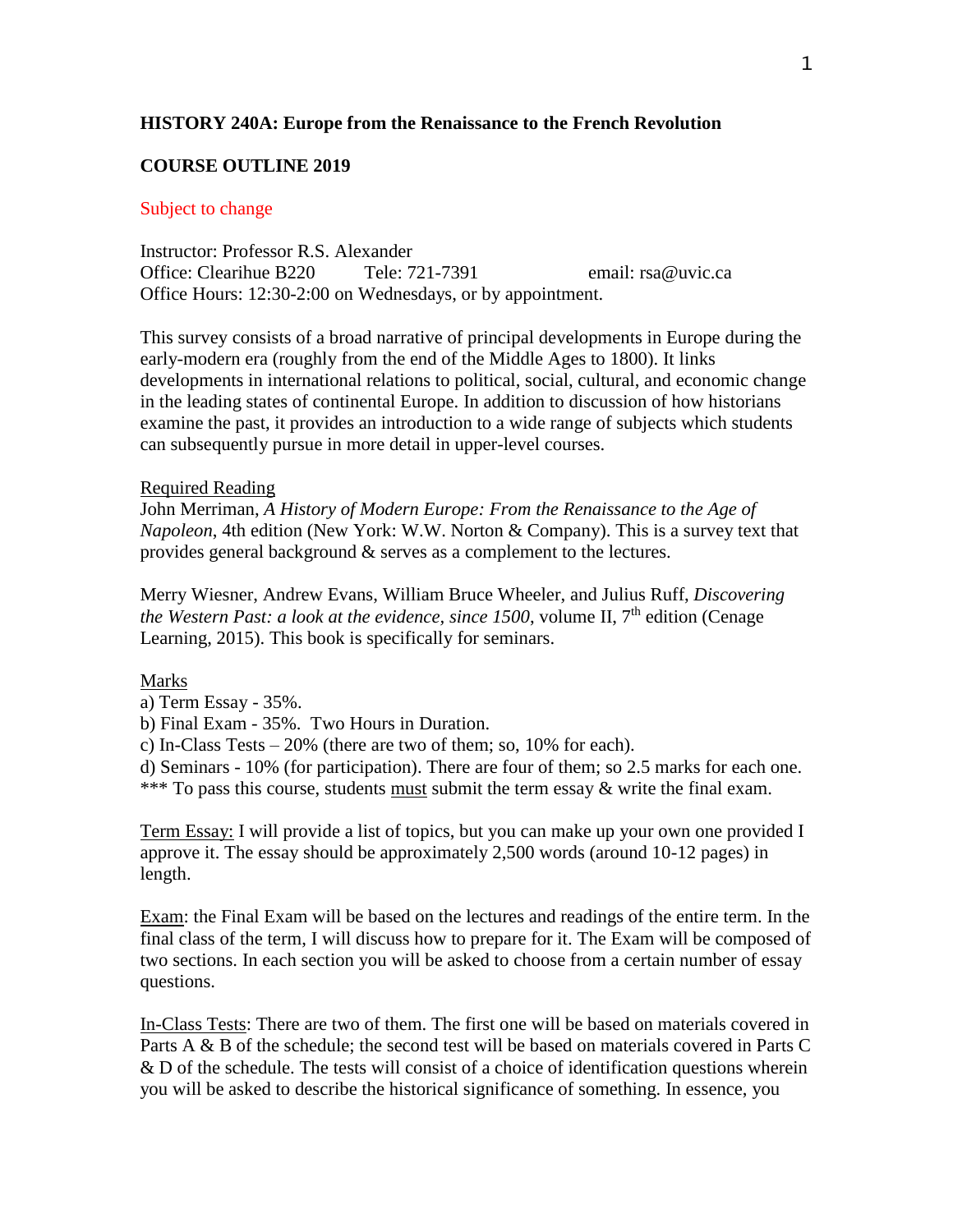# **HISTORY 240A: Europe from the Renaissance to the French Revolution**

## **COURSE OUTLINE 2019**

### Subject to change

Instructor: Professor R.S. Alexander Office: Clearihue B220 Tele: 721-7391 email: rsa@uvic.ca Office Hours: 12:30-2:00 on Wednesdays, or by appointment.

This survey consists of a broad narrative of principal developments in Europe during the early-modern era (roughly from the end of the Middle Ages to 1800). It links developments in international relations to political, social, cultural, and economic change in the leading states of continental Europe. In addition to discussion of how historians examine the past, it provides an introduction to a wide range of subjects which students can subsequently pursue in more detail in upper-level courses.

#### Required Reading

John Merriman, *A History of Modern Europe: From the Renaissance to the Age of Napoleon*, 4th edition (New York: W.W. Norton & Company). This is a survey text that provides general background & serves as a complement to the lectures.

Merry Wiesner, Andrew Evans, William Bruce Wheeler, and Julius Ruff, *Discovering*  the Western Past: a look at the evidence, since 1500, volume II, 7<sup>th</sup> edition (Cenage Learning, 2015). This book is specifically for seminars.

#### Marks

- a) Term Essay 35%.
- b) Final Exam 35%. Two Hours in Duration.

c) In-Class Tests – 20% (there are two of them; so, 10% for each).

d) Seminars - 10% (for participation). There are four of them; so 2.5 marks for each one. \*\*\* To pass this course, students must submit the term essay & write the final exam.

Term Essay: I will provide a list of topics, but you can make up your own one provided I approve it. The essay should be approximately 2,500 words (around 10-12 pages) in length.

Exam: the Final Exam will be based on the lectures and readings of the entire term. In the final class of the term, I will discuss how to prepare for it. The Exam will be composed of two sections. In each section you will be asked to choose from a certain number of essay questions.

In-Class Tests: There are two of them. The first one will be based on materials covered in Parts A & B of the schedule; the second test will be based on materials covered in Parts C & D of the schedule. The tests will consist of a choice of identification questions wherein you will be asked to describe the historical significance of something. In essence, you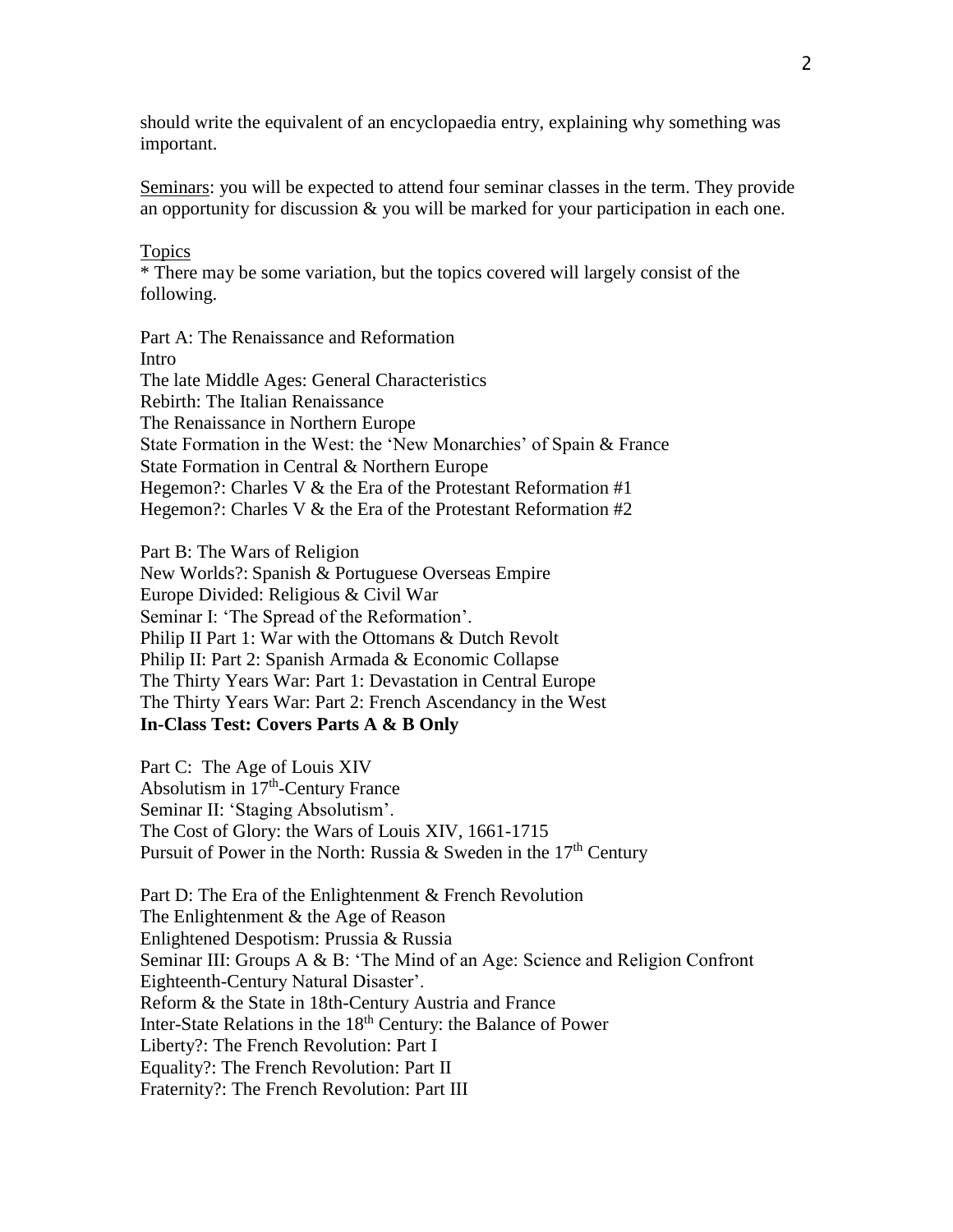should write the equivalent of an encyclopaedia entry, explaining why something was important.

Seminars: you will be expected to attend four seminar classes in the term. They provide an opportunity for discussion  $\&$  you will be marked for your participation in each one.

## Topics

\* There may be some variation, but the topics covered will largely consist of the following.

Part A: The Renaissance and Reformation Intro The late Middle Ages: General Characteristics Rebirth: The Italian Renaissance The Renaissance in Northern Europe State Formation in the West: the 'New Monarchies' of Spain & France State Formation in Central & Northern Europe Hegemon?: Charles V  $&$  the Era of the Protestant Reformation #1 Hegemon?: Charles V & the Era of the Protestant Reformation #2

Part B: The Wars of Religion New Worlds?: Spanish & Portuguese Overseas Empire Europe Divided: Religious & Civil War Seminar I: 'The Spread of the Reformation'. Philip II Part 1: War with the Ottomans & Dutch Revolt Philip II: Part 2: Spanish Armada & Economic Collapse The Thirty Years War: Part 1: Devastation in Central Europe The Thirty Years War: Part 2: French Ascendancy in the West **In-Class Test: Covers Parts A & B Only**

Part C: The Age of Louis XIV Absolutism in 17<sup>th</sup>-Century France Seminar II: 'Staging Absolutism'. The Cost of Glory: the Wars of Louis XIV, 1661-1715 Pursuit of Power in the North: Russia & Sweden in the  $17<sup>th</sup>$  Century

Part D: The Era of the Enlightenment & French Revolution The Enlightenment & the Age of Reason Enlightened Despotism: Prussia & Russia Seminar III: Groups A & B: 'The Mind of an Age: Science and Religion Confront Eighteenth-Century Natural Disaster'. Reform & the State in 18th-Century Austria and France Inter-State Relations in the 18<sup>th</sup> Century: the Balance of Power Liberty?: The French Revolution: Part I Equality?: The French Revolution: Part II Fraternity?: The French Revolution: Part III